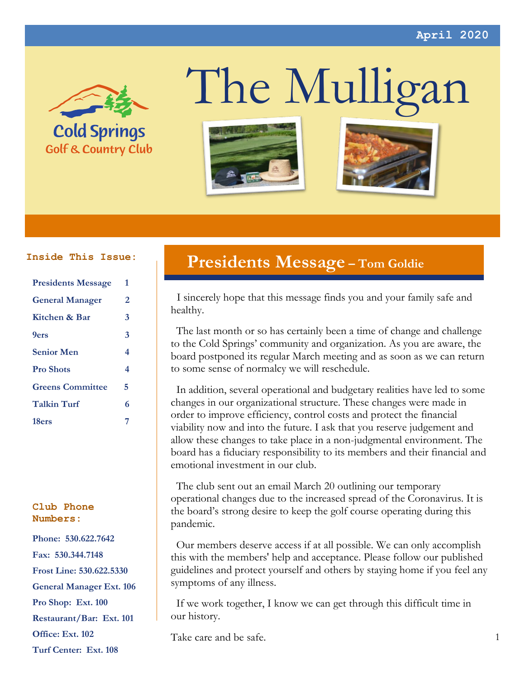

**Golf & Country Club** 

# The Mulligan





| <b>Presidents Message</b> | 1 |
|---------------------------|---|
| <b>General Manager</b>    | 2 |
| Kitchen & Bar             | 3 |
| 9ers                      | 3 |
| <b>Senior Men</b>         | 4 |
| <b>Pro Shots</b>          | 4 |
| <b>Greens Committee</b>   | 5 |
| <b>Talkin Turf</b>        | 6 |
| 18ers                     | 7 |

#### **Club Phone Numbers:**

**Phone: 530.622.7642 Fax: 530.344.7148 Frost Line: 530.622.5330 General Manager Ext. 106 Pro Shop: Ext. 100 Restaurant/Bar: Ext. 101 Office: Ext. 102 Turf Center: Ext. 108**

## **Presidents Message – Tom Goldie Inside This Issue:**

 I sincerely hope that this message finds you and your family safe and healthy.

 The last month or so has certainly been a time of change and challenge to the Cold Springs' community and organization. As you are aware, the board postponed its regular March meeting and as soon as we can return to some sense of normalcy we will reschedule.

 In addition, several operational and budgetary realities have led to some changes in our organizational structure. These changes were made in order to improve efficiency, control costs and protect the financial viability now and into the future. I ask that you reserve judgement and allow these changes to take place in a non-judgmental environment. The board has a fiduciary responsibility to its members and their financial and emotional investment in our club.

 The club sent out an email March 20 outlining our temporary operational changes due to the increased spread of the Coronavirus. It is the board's strong desire to keep the golf course operating during this pandemic.

 Our members deserve access if at all possible. We can only accomplish this with the members' help and acceptance. Please follow our published guidelines and protect yourself and others by staying home if you feel any symptoms of any illness.

 If we work together, I know we can get through this difficult time in our history.

Take care and be safe.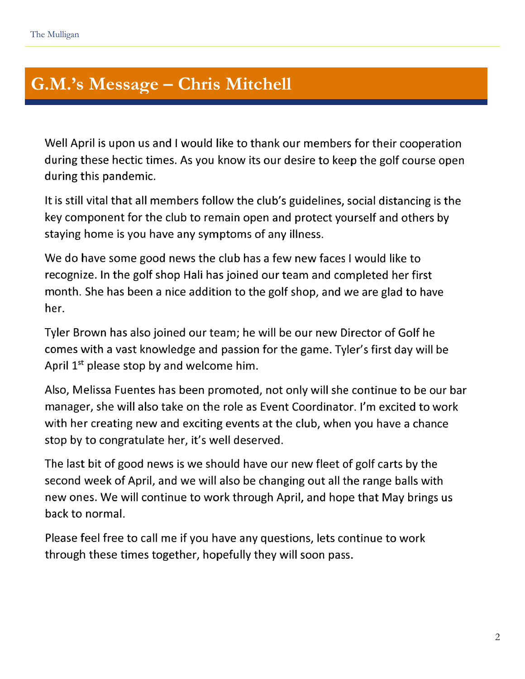#### Club Stricts. **G.M.'s Message – Chris Mitchell**

Well April is upon us and I would like to thank our members for their cooperation during these hectic times. As you know its our desire to keep the golf course open during this pandemic.

It is still vital that all members follow the club's guidelines, social distancing is the key component for the club to remain open and protect yourself and others by staying home is you have any symptoms of any illness.

We do have some good news the club has a few new faces I would like to recognize. In the golf shop Hali has joined our team and completed her first month. She has been a nice addition to the golf shop, and we are glad to have her.

Tyler Brown has also joined our team; he will be our new Director of Golf he comes with a vast knowledge and passion for the game. Tyler's first day will be April 1<sup>st</sup> please stop by and welcome him.

Also, Melissa Fuentes has been promoted, not only will she continue to be our bar manager, she will also take on the role as Event Coordinator. I'm excited to work with her creating new and exciting events at the club, when you have a chance stop by to congratulate her, it's well deserved.

The last bit of good news is we should have our new fleet of golf carts by the second week of April, and we will also be changing out all the range balls with new ones. We will continue to work through April, and hope that May brings us back to normal.

Please feel free to call me if you have any questions, lets continue to work through these times together, hopefully they will soon pass.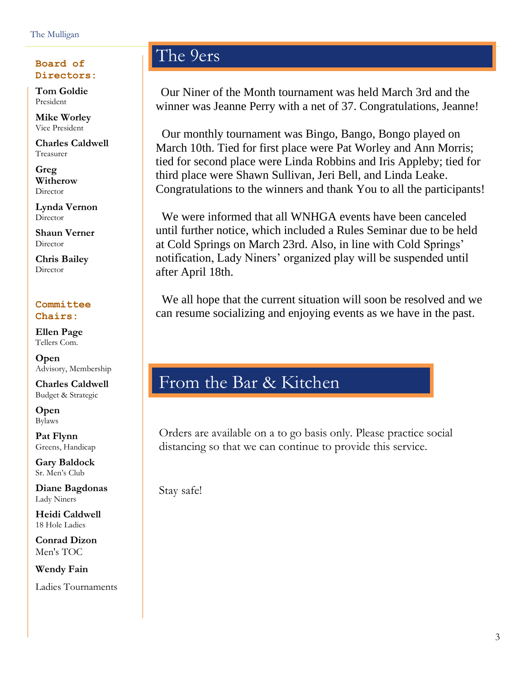## **Directors:**

**Tom Goldie** President

**Mike Worley** Vice President

**Charles Caldwell** Treasurer

**Greg Witherow** Director

**Lynda Vernon Director** 

**Shaun Verner Director** 

**Chris Bailey Director** 

#### **Committee Chairs:**

**Ellen Page** Tellers Com.

**Open** Advisory, Membership

**Charles Caldwell** Budget & Strategic

**Open** Bylaws

**Pat Flynn** Greens, Handicap

**Gary Baldock** Sr. Men's Club

**Diane Bagdonas** Lady Niners

**Heidi Caldwell** 18 Hole Ladies

**Conrad Dizon** Men's TOC

**Wendy Fain** Ladies Tournaments

## Board of **The 9ers**

 Our Niner of the Month tournament was held March 3rd and the winner was Jeanne Perry with a net of 37. Congratulations, Jeanne!

 Our monthly tournament was Bingo, Bango, Bongo played on March 10th. Tied for first place were Pat Worley and Ann Morris; tied for second place were Linda Robbins and Iris Appleby; tied for third place were Shawn Sullivan, Jeri Bell, and Linda Leake. Congratulations to the winners and thank You to all the participants!

 We were informed that all WNHGA events have been canceled until further notice, which included a Rules Seminar due to be held at Cold Springs on March 23rd. Also, in line with Cold Springs' notification, Lady Niners' organized play will be suspended until after April 18th.

 We all hope that the current situation will soon be resolved and we can resume socializing and enjoying events as we have in the past.

## From the Bar & Kitchen

Orders are available on a to go basis only. Please practice social distancing so that we can continue to provide this service.

Stay safe!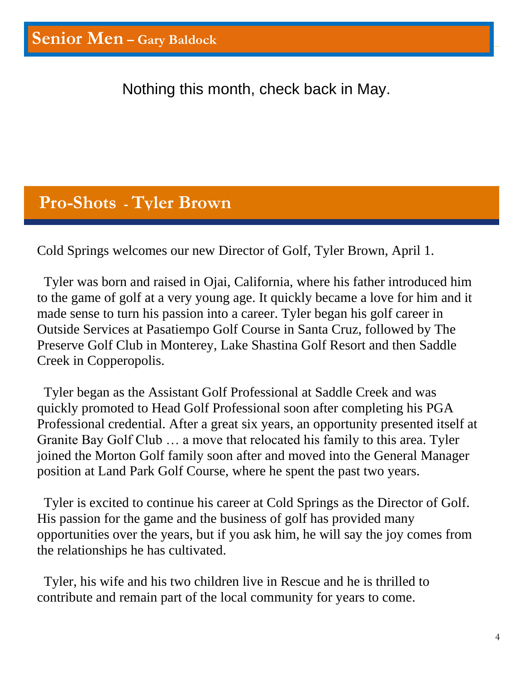Nothing this month, check back in May.

## **Pro-Shots - Tyler Brown**

Cold Springs welcomes our new Director of Golf, Tyler Brown, April 1.

 Tyler was born and raised in Ojai, California, where his father introduced him to the game of golf at a very young age. It quickly became a love for him and it made sense to turn his passion into a career. Tyler began his golf career in Outside Services at Pasatiempo Golf Course in Santa Cruz, followed by The Preserve Golf Club in Monterey, Lake Shastina Golf Resort and then Saddle Creek in Copperopolis.

 Tyler began as the Assistant Golf Professional at Saddle Creek and was quickly promoted to Head Golf Professional soon after completing his PGA Professional credential. After a great six years, an opportunity presented itself at Granite Bay Golf Club … a move that relocated his family to this area. Tyler joined the Morton Golf family soon after and moved into the General Manager position at Land Park Golf Course, where he spent the past two years.

 Tyler is excited to continue his career at Cold Springs as the Director of Golf. His passion for the game and the business of golf has provided many opportunities over the years, but if you ask him, he will say the joy comes from the relationships he has cultivated.

 Tyler, his wife and his two children live in Rescue and he is thrilled to contribute and remain part of the local community for years to come.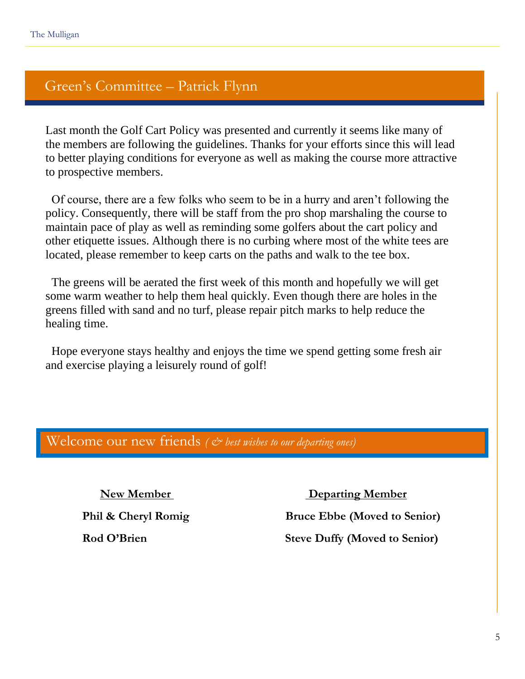Flynning yn y brening yn y brening yn y brening yn y brening yn y brening yn y brening yn y brening yn y breni<br>Ferfin

#### Green's Committee – Patrick Flynn

Last month the Golf Cart Policy was presented and currently it seems like many of the members are following the guidelines. Thanks for your efforts since this will lead to better playing conditions for everyone as well as making the course more attractive to prospective members.

 Of course, there are a few folks who seem to be in a hurry and aren't following the policy. Consequently, there will be staff from the pro shop marshaling the course to maintain pace of play as well as reminding some golfers about the cart policy and other etiquette issues. Although there is no curbing where most of the white tees are located, please remember to keep carts on the paths and walk to the tee box.

 The greens will be aerated the first week of this month and hopefully we will get some warm weather to help them heal quickly. Even though there are holes in the greens filled with sand and no turf, please repair pitch marks to help reduce the healing time.

 Hope everyone stays healthy and enjoys the time we spend getting some fresh air and exercise playing a leisurely round of golf!

#### Welcome our new friends ( $\breve{c}$  best wishes to our departing ones)

 **New Member Departing Member** 

**Phil & Cheryl Romig Bruce Ebbe (Moved to Senior) Rod O'Brien Steve Duffy (Moved to Senior)**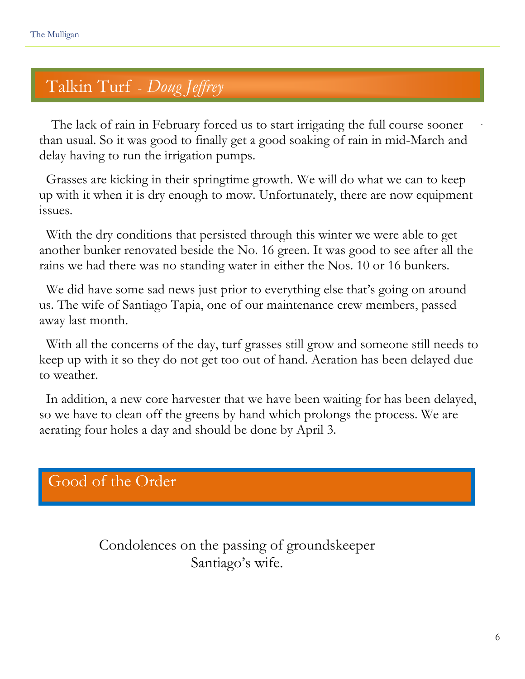## Talkin Turf - *Doug Jeffrey*

 The lack of rain in February forced us to start irrigating the full course sooner than usual. So it was good to finally get a good soaking of rain in mid-March and delay having to run the irrigation pumps.

 Grasses are kicking in their springtime growth. We will do what we can to keep up with it when it is dry enough to mow. Unfortunately, there are now equipment issues.

 With the dry conditions that persisted through this winter we were able to get another bunker renovated beside the No. 16 green. It was good to see after all the rains we had there was no standing water in either the Nos. 10 or 16 bunkers.

 We did have some sad news just prior to everything else that's going on around us. The wife of Santiago Tapia, one of our maintenance crew members, passed away last month.

 With all the concerns of the day, turf grasses still grow and someone still needs to keep up with it so they do not get too out of hand. Aeration has been delayed due to weather.

 In addition, a new core harvester that we have been waiting for has been delayed, so we have to clean off the greens by hand which prolongs the process. We are aerating four holes a day and should be done by April 3.

## Good of the Order

Condolences on the passing of groundskeeper Santiago's wife.

.